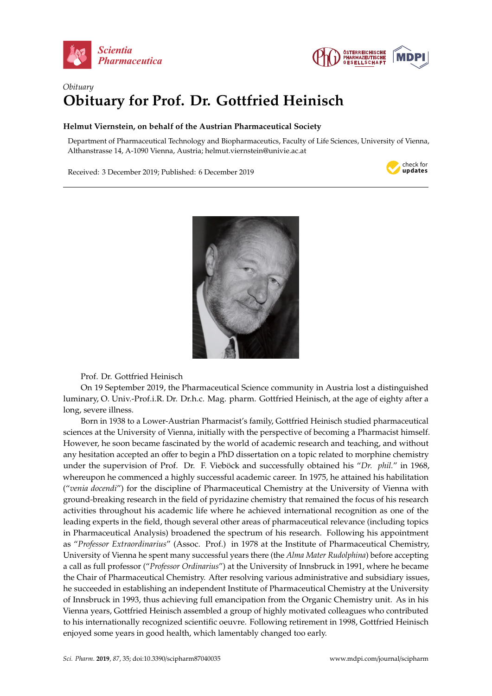



## *Obituary* **Obituary for Prof. Dr. Gottfried Heinisch**

## **Helmut Viernstein, on behalf of the Austrian Pharmaceutical Society**

Department of Pharmaceutical Technology and Biopharmaceutics, Faculty of Life Sciences, University of Vienna, Althanstrasse 14, A-1090 Vienna, Austria; helmut.viernstein@univie.ac.at *Obituary* **Obituary for Prof.** Dr. Gottfried Heinischen Prof. Dr. Gottfried Heinischen Heinischen Heinische Freuen der Freuen der Freuen der Freuen der Freuen der Freuen der Freuen der Freuen der Freuen der Freuen der Freuen der Fre

Department of Pharmaceutical Technology and Biopharmaceutics, Faculty of Life Sciences, University of

Received: 3 December 2019; Published: 6 December 2019





Prof. Dr. Gottfried Heinisch

 $\overline{C}$   $\overline{C}$   $\overline{C}$   $\overline{C}$   $\overline{C}$   $\overline{C}$   $\overline{C}$   $\overline{C}$  and  $\overline{C}$   $\overline{C}$  and  $\overline{C}$   $\overline{C}$  and  $\overline{C}$   $\overline{C}$   $\overline{C}$   $\overline{C}$   $\overline{C}$   $\overline{C}$   $\overline{C}$   $\overline{C}$   $\overline{C}$   $\overline{C}$   $\overline{C}$   $\$ On 19 September 2019, the Pharmaceutical Science community in Austria lost a distinguished luminary, O. Univ.-Prof.i.R. Dr. Dr.h.c. Mag. pharm. Gottfried Heinisch, at the age of eighty after a  $B^2$  in 1938 to a Lower-Austrian Pharmacist's family, Gottfried Heinisch studied Heinisch studied Heinisch studied Heinisch studied Heinisch studied Heinisch studied Heinisch studied Heinisch studied Heinisch studied Hei long, severe illness.

the Chair of Pharmaceutical Chemistry. After resolving various administrative and subsidiary issues, pharmaceutical sciences at the University of University of  $\sim$  Vienna, in the perspective of becomes at  $p$ Born in 1938 to a Lower-Austrian Pharmacist's family, Gottfried Heinisch studied pharmaceutical sciences at the University of Vienna, initially with the perspective of becoming a Pharmacist himself. However, he soon became fascinated by the world of academic research and teaching, and without "*Dr. phil.*" in 1968, whereupon he commenced a highly successful academic career. In 1975, he any hesitation accepted an offer to begin a PhD dissertation on a topic related to morphine chemistry under the supervision of Prof. Dr. F. Vieböck and successfully obtained his "*Dr. phil.*" in 1968, whereupon he commenced a highly successful academic career. In 1975, he attained his habilitation international recognition as one of the field, the field, the field, the field, the field, the field, the field, the field, the field, the field, the field, the field, the field, the field, the field of the field of the f (*"venia docendi"*) for the discipline of Pharmaceutical Chemistry at the University of Vienna with ground-breaking research in the field of pyridazine chemistry that remained the focus of his research activities throughout his academic life where he achieved international recognition as one of the (the *Alma Mater Rudolphina*) before accepting a call as full professor ("*Professor Ordinarius*") at the leading experts in the field, though several other areas of pharmaceutical relevance (including topics in Pharmaceutical Analysis) broadened the spectrum of his research. Following his appointment as "Professor Extraordinarius" (Assoc. Prof.) in 1978 at the Institute of Pharmaceutical Chemistry,  $\epsilon$ emancipation from the Organic Chemistry unit. As in his Vienna years, Gottfried Heinisch assembled Heinisch assembled Heinisch assembled Heinisch assembled Heinisch assembled Heinisch assembled Heinisch assembled Hein University of Vienna he spent many successful years there (the *Alma Mater Rudolphina*) before accepting a call as full professor ("*Professor Ordinarius*") at the University of Innsbruck in 1991, where he became he succeeded in establishing an independent Institute of Pharmaceutical Chemistry at the University of Innsbruck in 1993, thus achieving full emancipation from the Organic Chemistry unit. As in his Vienna years, Gottfried Heinisch assembled a group of highly motivated colleagues who contributed to his internationally recognized scientific oeuvre. Following retirement in 1998, Gottfried Heinisch enjoyed some years in good health, which lamentably changed too early.